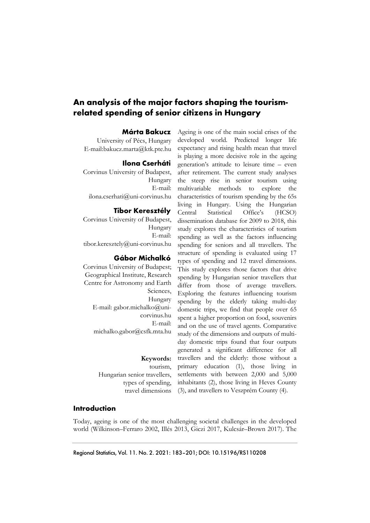# **An analysis of the major factors shaping the tourismrelated spending of senior citizens in Hungary**

### **Márta Bakucz**

University of Pécs, Hungary E-mail:bakucz.marta@ktk.pte.hu

#### **Ilona Cserháti**

Corvinus University of Budapest, Hungary E-mail: ilona.cserhati@uni-corvinus.hu

## **Tibor Keresztély**

Corvinus University of Budapest, Hungary E-mail: tibor.keresztely@uni-corvinus.hu

### **Gábor Michalkó**

Corvinus University of Budapest; Geographical Institute, Research Centre for Astronomy and Earth Sciences, Hungary E-mail: gabor.michalko@unicorvinus.hu E-mail: michalko.gabor@csfk.mta.hu

> **Keywords:**  tourism, Hungarian senior travellers, types of spending, travel dimensions

Ageing is one of the main social crises of the developed world. Predicted longer life expectancy and rising health mean that travel is playing a more decisive role in the ageing generation's attitude to leisure time – even after retirement. The current study analyses the steep rise in senior tourism using multivariable methods to explore the characteristics of tourism spending by the 65s living in Hungary. Using the Hungarian Central Statistical Office's (HCSO) dissemination database for 2009 to 2018, this study explores the characteristics of tourism spending as well as the factors influencing spending for seniors and all travellers. The structure of spending is evaluated using 17 types of spending and 12 travel dimensions. This study explores those factors that drive spending by Hungarian senior travellers that differ from those of average travellers. Exploring the features influencing tourism spending by the elderly taking multi-day domestic trips, we find that people over 65 spent a higher proportion on food, souvenirs and on the use of travel agents. Comparative study of the dimensions and outputs of multiday domestic trips found that four outputs generated a significant difference for all travellers and the elderly: those without a primary education (1), those living in settlements with between 2,000 and 5,000 inhabitants (2), those living in Heves County (3), and travellers to Veszprém County (4).

## **Introduction**

Today, ageing is one of the most challenging societal challenges in the developed world (Wilkinson–Ferraro 2002, Illés 2013, Giczi 2017, Kulcsár–Brown 2017). The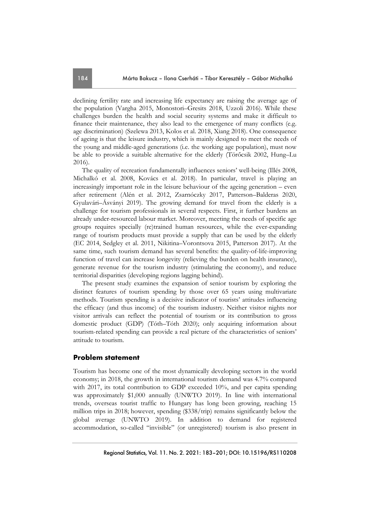declining fertility rate and increasing life expectancy are raising the average age of the population (Vargha 2015, Monostori–Gresits 2018, Uzzoli 2016). While these challenges burden the health and social security systems and make it difficult to finance their maintenance, they also lead to the emergence of many conflicts (e.g. age discrimination) (Szelewa 2013, Kolos et al. 2018, Xiang 2018). One consequence of ageing is that the leisure industry, which is mainly designed to meet the needs of the young and middle-aged generations (i.e. the working age population), must now be able to provide a suitable alternative for the elderly (Törőcsik 2002, Hung–Lu 2016).

The quality of recreation fundamentally influences seniors' well-being (Illés 2008, Michalkó et al. 2008, Kovács et al. 2018). In particular, travel is playing an increasingly important role in the leisure behaviour of the ageing generation – even after retirement (Alén et al. 2012, Zsarnóczky 2017, Patterson–Balderas 2020, Gyulavári–Ásványi 2019). The growing demand for travel from the elderly is a challenge for tourism professionals in several respects. First, it further burdens an already under-resourced labour market. Moreover, meeting the needs of specific age groups requires specially (re)trained human resources, while the ever-expanding range of tourism products must provide a supply that can be used by the elderly (EC 2014, Sedgley et al. 2011, Nikitina–Vorontsova 2015, Patterson 2017). At the same time, such tourism demand has several benefits: the quality-of-life-improving function of travel can increase longevity (relieving the burden on health insurance), generate revenue for the tourism industry (stimulating the economy), and reduce territorial disparities (developing regions lagging behind).

The present study examines the expansion of senior tourism by exploring the distinct features of tourism spending by those over 65 years using multivariate methods. Tourism spending is a decisive indicator of tourists' attitudes influencing the efficacy (and thus income) of the tourism industry. Neither visitor nights nor visitor arrivals can reflect the potential of tourism or its contribution to gross domestic product (GDP) (Tóth–Tóth 2020); only acquiring information about tourism-related spending can provide a real picture of the characteristics of seniors' attitude to tourism.

## **Problem statement**

Tourism has become one of the most dynamically developing sectors in the world economy; in 2018, the growth in international tourism demand was 4.7% compared with 2017, its total contribution to GDP exceeded 10%, and per capita spending was approximately \$1,000 annually (UNWTO 2019). In line with international trends, overseas tourist traffic to Hungary has long been growing, reaching 15 million trips in 2018; however, spending (\$338/trip) remains significantly below the global average (UNWTO 2019). In addition to demand for registered accommodation, so-called "invisible" (or unregistered) tourism is also present in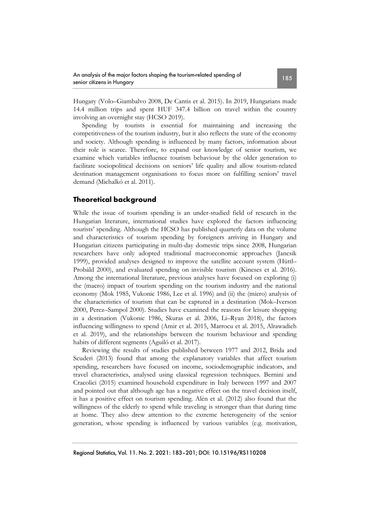Hungary (Volo–Giambalvo 2008, De Cantis et al. 2015). In 2019, Hungarians made 14.4 million trips and spent HUF 347.4 billion on travel within the country involving an overnight stay (HCSO 2019).

Spending by tourists is essential for maintaining and increasing the competitiveness of the tourism industry, but it also reflects the state of the economy and society. Although spending is influenced by many factors, information about their role is scarce. Therefore, to expand our knowledge of senior tourism, we examine which variables influence tourism behaviour by the older generation to facilitate sociopolitical decisions on seniors' life quality and allow tourism-related destination management organisations to focus more on fulfilling seniors' travel demand (Michalkó et al. 2011).

# **Theoretical background**

While the issue of tourism spending is an under-studied field of research in the Hungarian literature, international studies have explored the factors influencing tourists' spending. Although the HCSO has published quarterly data on the volume and characteristics of tourism spending by foreigners arriving in Hungary and Hungarian citizens participating in multi-day domestic trips since 2008, Hungarian researchers have only adopted traditional macroeconomic approaches (Jancsik 1999), provided analyses designed to improve the satellite account system (Hüttl– Probáld 2000), and evaluated spending on invisible tourism (Kincses et al. 2016). Among the international literature, previous analyses have focused on exploring (i) the (macro) impact of tourism spending on the tourism industry and the national economy (Mok 1985, Vukonic 1986, Lee et al. 1996) and (ii) the (micro) analysis of the characteristics of tourism that can be captured in a destination (Mok–Iverson 2000, Perez–Sampol 2000). Studies have examined the reasons for leisure shopping in a destination (Vukonic 1986, Skuras et al. 2006, Li–Ryan 2018), the factors influencing willingness to spend (Amir et al. 2015, Marrocu et al. 2015, Alrawadieh et al. 2019), and the relationships between the tourism behaviour and spending habits of different segments (Aguiló et al. 2017).

Reviewing the results of studies published between 1977 and 2012, Brida and Scuderi (2013) found that among the explanatory variables that affect tourism spending, researchers have focused on income, sociodemographic indicators, and travel characteristics, analysed using classical regression techniques. Bernini and Cracolici (2015) examined household expenditure in Italy between 1997 and 2007 and pointed out that although age has a negative effect on the travel decision itself, it has a positive effect on tourism spending. Alén et al. (2012) also found that the willingness of the elderly to spend while traveling is stronger than that during time at home. They also drew attention to the extreme heterogeneity of the senior generation, whose spending is influenced by various variables (e.g. motivation,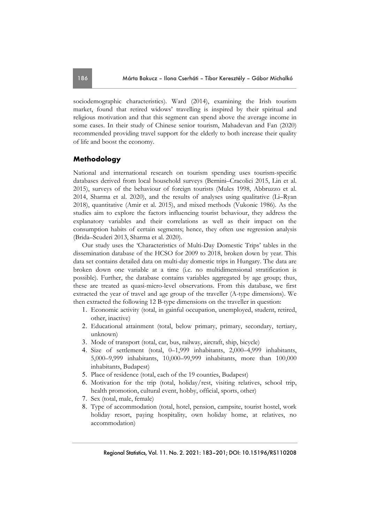sociodemographic characteristics). Ward (2014), examining the Irish tourism market, found that retired widows' travelling is inspired by their spiritual and religious motivation and that this segment can spend above the average income in some cases. In their study of Chinese senior tourism, Mahadevan and Fan (2020) recommended providing travel support for the elderly to both increase their quality of life and boost the economy.

# **Methodology**

National and international research on tourism spending uses tourism-specific databases derived from local household surveys (Bernini–Cracolici 2015, Lin et al. 2015), surveys of the behaviour of foreign tourists (Mules 1998, Abbruzzo et al. 2014, Sharma et al. 2020), and the results of analyses using qualitative (Li–Ryan 2018), quantitative (Amir et al. 2015), and mixed methods (Vukonic 1986). As the studies aim to explore the factors influencing tourist behaviour, they address the explanatory variables and their correlations as well as their impact on the consumption habits of certain segments; hence, they often use regression analysis (Brida–Scuderi 2013, Sharma et al. 2020).

Our study uses the 'Characteristics of Multi-Day Domestic Trips' tables in the dissemination database of the HCSO for 2009 to 2018, broken down by year. This data set contains detailed data on multi-day domestic trips in Hungary. The data are broken down one variable at a time (i.e. no multidimensional stratification is possible). Further, the database contains variables aggregated by age group; thus, these are treated as quasi-micro-level observations. From this database, we first extracted the year of travel and age group of the traveller (A-type dimensions). We then extracted the following 12 B-type dimensions on the traveller in question:

- 1. Economic activity (total, in gainful occupation, unemployed, student, retired, other, inactive)
- 2. Educational attainment (total, below primary, primary, secondary, tertiary, unknown)
- 3. Mode of transport (total, car, bus, railway, aircraft, ship, bicycle)
- 4. Size of settlement (total, 0–1,999 inhabitants, 2,000–4,999 inhabitants, 5,000–9,999 inhabitants, 10,000–99,999 inhabitants, more than 100,000 inhabitants, Budapest)
- 5. Place of residence (total, each of the 19 counties, Budapest)
- 6. Motivation for the trip (total, holiday/rest, visiting relatives, school trip, health promotion, cultural event, hobby, official, sports, other)
- 7. Sex (total, male, female)
- 8. Type of accommodation (total, hotel, pension, campsite, tourist hostel, work holiday resort, paying hospitality, own holiday home, at relatives, no accommodation)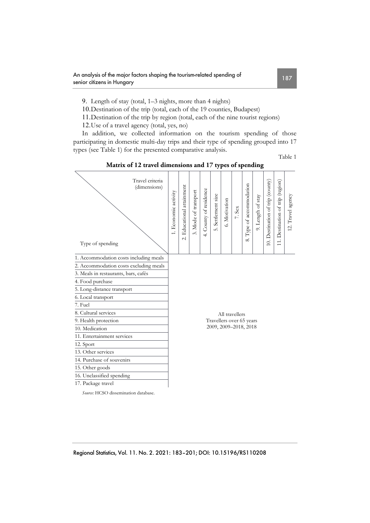9. Length of stay (total, 1–3 nights, more than 4 nights)

10.Destination of the trip (total, each of the 19 counties, Budapest)

11.Destination of the trip by region (total, each of the nine tourist regions)

12.Use of a travel agency (total, yes, no)

In addition, we collected information on the tourism spending of those participating in domestic multi-day trips and their type of spending grouped into 17 types (see Table 1) for the presented comparative analysis.

Table 1

| Travel criteria<br>(dimensions)        | 1. Economic activity                                                | Educational attainment   | Mode of transport<br>$\ddot{\delta}$ | 4. County of residence | Settlement size<br>$\vec{S}$ | 6. Motivation | 7. Sex | Type of accommodation | 9. Length of stay | 10. Destination of trip (county) | 11. Destination of trip (region) | 12. Travel agency |
|----------------------------------------|---------------------------------------------------------------------|--------------------------|--------------------------------------|------------------------|------------------------------|---------------|--------|-----------------------|-------------------|----------------------------------|----------------------------------|-------------------|
| Type of spending                       |                                                                     | $\overline{\mathcal{N}}$ |                                      |                        |                              |               |        | $\infty$              |                   |                                  |                                  |                   |
| 1. Accommodation costs including meals |                                                                     |                          |                                      |                        |                              |               |        |                       |                   |                                  |                                  |                   |
| 2. Accommodation costs excluding meals |                                                                     |                          |                                      |                        |                              |               |        |                       |                   |                                  |                                  |                   |
| 3. Meals in restaurants, bars, cafés   |                                                                     |                          |                                      |                        |                              |               |        |                       |                   |                                  |                                  |                   |
| 4. Food purchase                       |                                                                     |                          |                                      |                        |                              |               |        |                       |                   |                                  |                                  |                   |
| 5. Long-distance transport             | All travellers<br>Travellers over 65 years<br>2009, 2009-2018, 2018 |                          |                                      |                        |                              |               |        |                       |                   |                                  |                                  |                   |
| 6. Local transport                     |                                                                     |                          |                                      |                        |                              |               |        |                       |                   |                                  |                                  |                   |
| 7. Fuel                                |                                                                     |                          |                                      |                        |                              |               |        |                       |                   |                                  |                                  |                   |
| 8. Cultural services                   |                                                                     |                          |                                      |                        |                              |               |        |                       |                   |                                  |                                  |                   |
| 9. Health protection                   |                                                                     |                          |                                      |                        |                              |               |        |                       |                   |                                  |                                  |                   |
| 10. Medication                         |                                                                     |                          |                                      |                        |                              |               |        |                       |                   |                                  |                                  |                   |
| 11. Entertainment services             |                                                                     |                          |                                      |                        |                              |               |        |                       |                   |                                  |                                  |                   |
| 12. Sport                              |                                                                     |                          |                                      |                        |                              |               |        |                       |                   |                                  |                                  |                   |
| 13. Other services                     |                                                                     |                          |                                      |                        |                              |               |        |                       |                   |                                  |                                  |                   |
| 14. Purchase of souvenirs              |                                                                     |                          |                                      |                        |                              |               |        |                       |                   |                                  |                                  |                   |
| 15. Other goods                        |                                                                     |                          |                                      |                        |                              |               |        |                       |                   |                                  |                                  |                   |
| 16. Unclassified spending              |                                                                     |                          |                                      |                        |                              |               |        |                       |                   |                                  |                                  |                   |
| 17. Package travel                     |                                                                     |                          |                                      |                        |                              |               |        |                       |                   |                                  |                                  |                   |
| Source: HCSO dissemination database.   |                                                                     |                          |                                      |                        |                              |               |        |                       |                   |                                  |                                  |                   |

**Matrix of 12 travel dimensions and 17 types of spending**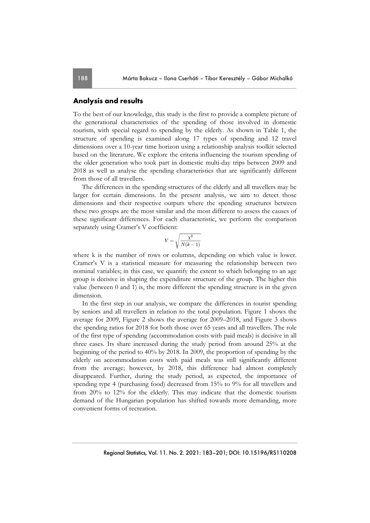## **Analysis and results**

To the best of our knowledge, this study is the first to provide a complete picture of the generational characteristics of the spending of those involved in domestic tourism, with special regard to spending by the elderly. As shown in Table 1, the structure of spending is examined along 17 types of spending and 12 travel dimensions over a 10-year time horizon using a relationship analysis toolkit selected based on the literature. We explore the criteria influencing the tourism spending of the older generation who took part in domestic multi-day trips between 2009 and 2018 as well as analyse the spending characteristics that are significantly different from those of all travellers.

The differences in the spending structures of the elderly and all travellers may be larger for certain dimensions. In the present analysis, we aim to detect those dimensions and their respective outputs where the spending structures between these two groups are the most similar and the most different to assess the causes of these significant differences. For each characteristic, we perform the comparison separately using Cramer's V coefficient:

$$
V = \sqrt{\frac{\chi^2}{N(k-1)}}
$$

where k is the number of rows or columns, depending on which value is lower. Cramer's V is a statistical measure for measuring the relationship between two nominal variables; in this case, we quantify the extent to which belonging to an age group is decisive in shaping the expenditure structure of the group. The higher this value (between 0 and 1) is, the more different the spending structure is in the given dimension.

In the first step in our analysis, we compare the differences in tourist spending by seniors and all travellers in relation to the total population. Figure 1 shows the average for 2009, Figure 2 shows the average for 2009–2018, and Figure 3 shows the spending ratios for 2018 for both those over 65 years and all travellers. The role of the first type of spending (accommodation costs with paid meals) is decisive in all three cases. Its share increased during the study period from around 25% at the beginning of the period to 40% by 2018. In 2009, the proportion of spending by the elderly on accommodation costs with paid meals was still significantly different from the average; however, by 2018, this difference had almost completely disappeared. Further, during the study period, as expected, the importance of spending type 4 (purchasing food) decreased from 15% to 9% for all travellers and from 20% to 12% for the elderly. This may indicate that the domestic tourism demand of the Hungarian population has shifted towards more demanding, more convenient forms of recreation.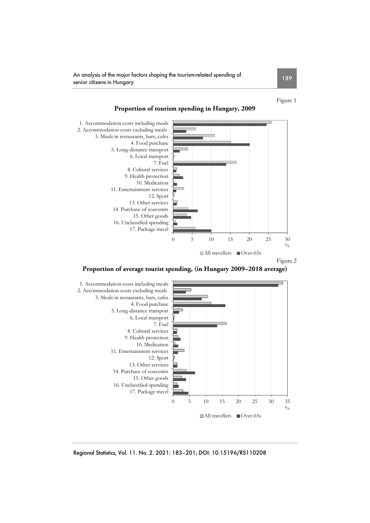An analysis of the major factors shaping the tourism-related spending of senior citizens in Hungary <sup>189</sup>

Figure 1



### **Proportion of tourism spending in Hungary, 2009**





Regional Statistics, Vol. 11. No. 2. 2021: 183–201; DOI: 10.15196/RS110208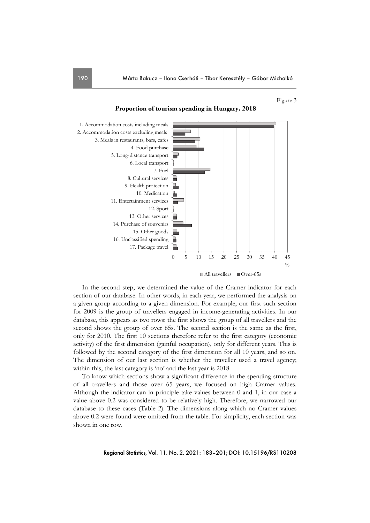Figure 3



#### **Proportion of tourism spending in Hungary, 2018**

In the second step, we determined the value of the Cramer indicator for each section of our database. In other words, in each year, we performed the analysis on a given group according to a given dimension. For example, our first such section for 2009 is the group of travellers engaged in income-generating activities. In our database, this appears as two rows: the first shows the group of all travellers and the second shows the group of over 65s. The second section is the same as the first, only for 2010. The first 10 sections therefore refer to the first category (economic activity) of the first dimension (gainful occupation), only for different years. This is followed by the second category of the first dimension for all 10 years, and so on. The dimension of our last section is whether the traveller used a travel agency; within this, the last category is 'no' and the last year is 2018.

To know which sections show a significant difference in the spending structure of all travellers and those over 65 years, we focused on high Cramer values. Although the indicator can in principle take values between 0 and 1, in our case a value above 0.2 was considered to be relatively high. Therefore, we narrowed our database to these cases (Table 2). The dimensions along which no Cramer values above 0.2 were found were omitted from the table. For simplicity, each section was shown in one row.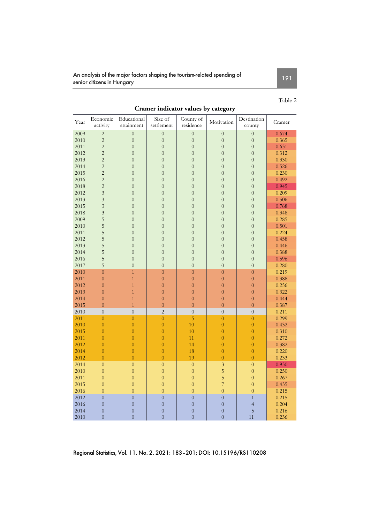An analysis of the major factors shaping the tourism-related spending of senior citizens in Hungary <sup>191</sup>

# Table 2

| Year | Economic<br>activity | Educational<br>attainment | Size of<br>settlement | County of<br>residence | Motivation              | Destination<br>county | Cramer |
|------|----------------------|---------------------------|-----------------------|------------------------|-------------------------|-----------------------|--------|
| 2009 | $\overline{c}$       | $\overline{0}$            | $\overline{0}$        | $\overline{0}$         | $\overline{0}$          | $\overline{0}$        | 0.674  |
| 2010 | $\overline{2}$       | $\overline{0}$            | $\overline{0}$        | $\overline{0}$         | $\overline{0}$          | $\overline{0}$        | 0.365  |
| 2011 | $\overline{2}$       | $\overline{0}$            | $\boldsymbol{0}$      | $\mathbf{0}$           | $\overline{0}$          | $\overline{0}$        | 0.631  |
| 2012 | $\overline{2}$       | $\overline{0}$            | $\overline{0}$        | $\overline{0}$         | $\overline{0}$          | $\overline{0}$        | 0.312  |
| 2013 | $\overline{c}$       | $\overline{0}$            | $\overline{0}$        | $\overline{0}$         | $\overline{0}$          | $\overline{0}$        | 0.330  |
| 2014 | $\overline{2}$       | $\overline{0}$            | $\overline{0}$        | $\overline{0}$         | $\overline{0}$          | $\overline{0}$        | 0.526  |
| 2015 | $\overline{c}$       | $\overline{0}$            | $\overline{0}$        | $\overline{0}$         | $\overline{0}$          | $\overline{0}$        | 0.230  |
| 2016 | $\overline{2}$       | $\overline{0}$            | $\overline{0}$        | $\overline{0}$         | $\overline{0}$          | $\overline{0}$        | 0.492  |
| 2018 | $\overline{c}$       | $\overline{0}$            | $\overline{0}$        | $\overline{0}$         | $\overline{0}$          | $\overline{0}$        | 0.945  |
| 2012 | $\overline{3}$       | $\overline{0}$            | $\overline{0}$        | $\overline{0}$         | $\overline{0}$          | $\overline{0}$        | 0.209  |
| 2013 | $\overline{3}$       | $\overline{0}$            | $\overline{0}$        | $\overline{0}$         | $\overline{0}$          | $\overline{0}$        | 0.506  |
| 2015 | $\overline{3}$       | $\overline{0}$            | $\overline{0}$        | $\overline{0}$         | $\overline{0}$          | $\overline{0}$        | 0.768  |
| 2018 | $\overline{3}$       | $\overline{0}$            | $\overline{0}$        | $\overline{0}$         | $\overline{0}$          | $\overline{0}$        | 0.348  |
| 2009 | 5                    | $\overline{0}$            | $\overline{0}$        | $\overline{0}$         | $\overline{0}$          | $\overline{0}$        | 0.285  |
| 2010 | 5                    | $\overline{0}$            | $\overline{0}$        | $\overline{0}$         | $\overline{0}$          | $\overline{0}$        | 0.501  |
| 2011 | 5                    | $\overline{0}$            | $\overline{0}$        | $\overline{0}$         | $\overline{0}$          | $\overline{0}$        | 0.224  |
| 2012 | 5                    | $\overline{0}$            | $\overline{0}$        | $\overline{0}$         | $\overline{0}$          | $\overline{0}$        | 0.458  |
| 2013 | 5                    | $\overline{0}$            | $\overline{0}$        | $\overline{0}$         | $\overline{0}$          | $\overline{0}$        | 0.446  |
| 2014 | 5                    | $\overline{0}$            | $\overline{0}$        | $\overline{0}$         | $\overline{0}$          | $\overline{0}$        | 0.388  |
| 2016 | 5                    | $\overline{0}$            | $\overline{0}$        | $\overline{0}$         | $\overline{0}$          | $\overline{0}$        | 0.596  |
| 2017 | 5                    | $\overline{0}$            | $\overline{0}$        | $\overline{0}$         | $\overline{0}$          | $\overline{0}$        | 0.280  |
| 2010 | $\overline{0}$       | $\overline{1}$            | $\overline{0}$        | $\overline{0}$         | $\overline{0}$          | $\overline{0}$        | 0.219  |
| 2011 | $\overline{0}$       | $\overline{1}$            | $\overline{0}$        | $\overline{0}$         | $\overline{0}$          | $\overline{0}$        | 0.388  |
| 2012 | $\overline{0}$       | $\overline{1}$            | $\overline{0}$        | $\overline{0}$         | $\overline{0}$          | $\overline{0}$        | 0.256  |
| 2013 | $\overline{0}$       | $\mathbf{1}$              | $\overline{0}$        | $\overline{0}$         | $\overline{0}$          | $\overline{0}$        | 0.322  |
| 2014 | $\mathbf{0}$         | $\mathbf{1}$              | $\overline{0}$        | $\overline{0}$         | $\overline{0}$          | $\overline{0}$        | 0.444  |
| 2015 | $\overline{0}$       | $\overline{1}$            | $\overline{0}$        | $\overline{0}$         | $\overline{0}$          | $\overline{0}$        | 0.387  |
| 2010 | $\overline{0}$       | $\overline{0}$            | $\overline{2}$        | $\overline{0}$         | $\overline{0}$          | $\overline{0}$        | 0.211  |
| 2011 | $\overline{0}$       | $\overline{0}$            | $\overline{0}$        | $\overline{5}$         | $\overline{0}$          | $\overline{0}$        | 0.299  |
| 2010 | $\overline{0}$       | $\overline{0}$            | $\overline{0}$        | 10                     | $\overline{0}$          | $\overline{0}$        | 0.432  |
| 2015 | $\overline{0}$       | $\overline{0}$            | $\overline{0}$        | 10                     | $\overline{0}$          | $\overline{0}$        | 0.310  |
| 2011 | $\overline{0}$       | $\overline{0}$            | $\overline{0}$        | 11                     | $\overline{0}$          | $\overline{0}$        | 0.272  |
| 2012 | $\overline{0}$       | $\overline{0}$            | $\overline{0}$        | 14                     | $\overline{0}$          | $\overline{0}$        | 0.382  |
| 2014 | $\overline{0}$       | $\overline{0}$            | $\overline{0}$        | 18                     | $\overline{0}$          | $\overline{0}$        | 0.220  |
| 2012 | $\overline{0}$       | $\overline{0}$            | $\overline{0}$        | 19                     | $\overline{0}$          | $\overline{0}$        | 0.233  |
| 2014 | $\overline{0}$       | $\overline{0}$            | $\overline{0}$        | $\overline{0}$         | $\overline{\mathbf{3}}$ | $\mathbf{0}$          | 0.930  |
| 2010 | $\overline{0}$       | $\overline{0}$            | $\overline{0}$        | $\overline{0}$         | 5                       | $\overline{0}$        | 0.250  |
| 2011 | $\overline{0}$       | $\overline{0}$            | $\overline{0}$        | $\overline{0}$         | $\overline{5}$          | $\overline{0}$        | 0.267  |
| 2015 | $\overline{0}$       | $\overline{0}$            | $\overline{0}$        | $\overline{0}$         | $\overline{7}$          | $\overline{0}$        | 0.435  |
| 2016 | $\overline{0}$       | $\overline{0}$            | $\overline{0}$        | $\overline{0}$         | $\overline{0}$          | $\overline{0}$        | 0.215  |
| 2012 | $\overline{0}$       | $\overline{0}$            | $\overline{0}$        | $\overline{0}$         | $\overline{0}$          | $\overline{1}$        | 0.215  |
| 2016 | $\overline{0}$       | $\overline{0}$            | $\overline{0}$        | $\overline{0}$         | $\overline{0}$          | $\overline{4}$        | 0.204  |
| 2014 | $\overline{0}$       | $\overline{0}$            | $\overline{0}$        | $\overline{0}$         | $\overline{0}$          | 5                     | 0.216  |
| 2010 | $\overline{0}$       | $\overline{0}$            | $\overline{0}$        | $\overline{0}$         | $\overline{0}$          | 11                    | 0.236  |

# **Cramer indicator values by category**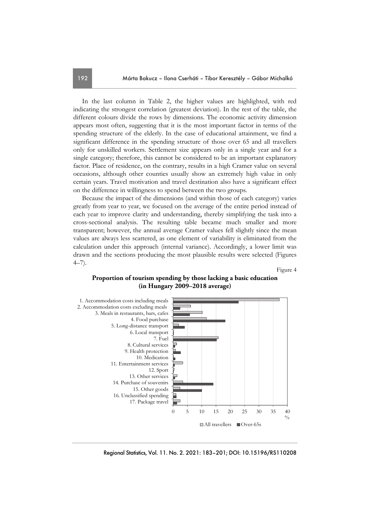In the last column in Table 2, the higher values are highlighted, with red indicating the strongest correlation (greatest deviation). In the rest of the table, the different colours divide the rows by dimensions. The economic activity dimension appears most often, suggesting that it is the most important factor in terms of the spending structure of the elderly. In the case of educational attainment, we find a significant difference in the spending structure of those over 65 and all travellers only for unskilled workers. Settlement size appears only in a single year and for a single category; therefore, this cannot be considered to be an important explanatory factor. Place of residence, on the contrary, results in a high Cramer value on several occasions, although other counties usually show an extremely high value in only certain years. Travel motivation and travel destination also have a significant effect on the difference in willingness to spend between the two groups.

Because the impact of the dimensions (and within those of each category) varies greatly from year to year, we focused on the average of the entire period instead of each year to improve clarity and understanding, thereby simplifying the task into a cross-sectional analysis. The resulting table became much smaller and more transparent; however, the annual average Cramer values fell slightly since the mean values are always less scattered, as one element of variability is eliminated from the calculation under this approach (internal variance). Accordingly, a lower limit was drawn and the sections producing the most plausible results were selected (Figures 4–7).

Figure 4

## **Proportion of tourism spending by those lacking a basic education (in Hungary 2009–2018 average)**

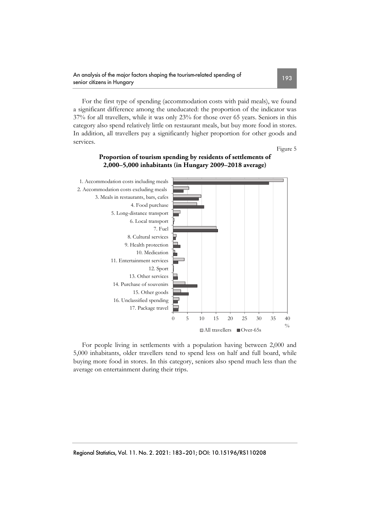For the first type of spending (accommodation costs with paid meals), we found a significant difference among the uneducated: the proportion of the indicator was 37% for all travellers, while it was only 23% for those over 65 years. Seniors in this category also spend relatively little on restaurant meals, but buy more food in stores. In addition, all travellers pay a significantly higher proportion for other goods and services.

Figure 5



# **Proportion of tourism spending by residents of settlements of 2,000–5,000 inhabitants (in Hungary 2009–2018 average)**

For people living in settlements with a population having between 2,000 and 5,000 inhabitants, older travellers tend to spend less on half and full board, while buying more food in stores. In this category, seniors also spend much less than the average on entertainment during their trips.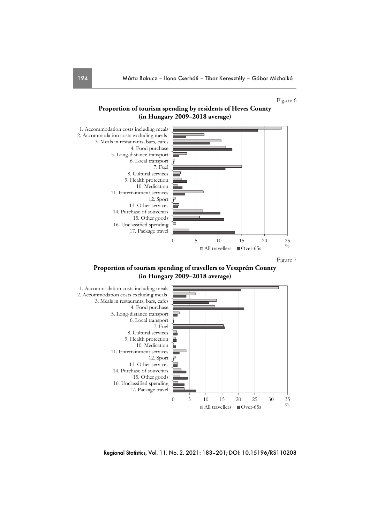#### Figure 6





Figure 7

**Proportion of tourism spending of travellers to Veszprém County (in Hungary 2009–2018 average)** 

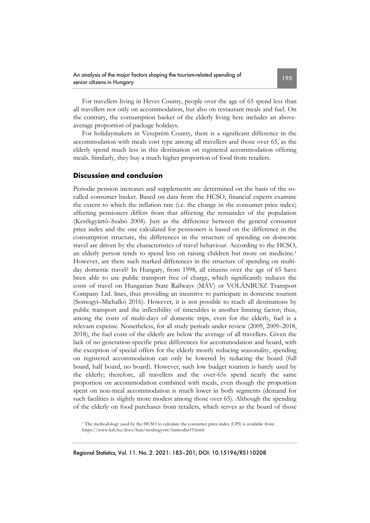For travellers living in Heves County, people over the age of 65 spend less than all travellers not only on accommodation, but also on restaurant meals and fuel. On the contrary, the consumption basket of the elderly living here includes an aboveaverage proportion of package holidays.

For holidaymakers in Veszprém County, there is a significant difference in the accommodation with meals cost type among all travellers and those over 65, as the elderly spend much less in this destination on registered accommodation offering meals. Similarly, they buy a much higher proportion of food from retailers.

#### **Discussion and conclusion**

Periodic pension increases and supplements are determined on the basis of the socalled consumer basket. Based on data from the HCSO, financial experts examine the extent to which the inflation rate (i.e. the change in the consumer price index) affecting pensioners differs from that affecting the remainder of the population (Kerékgyártó–Szabó 2004). Just as the difference between the general consumer price index and the one calculated for pensioners is based on the difference in the consumption structure, the differences in the structure of spending on domestic travel are driven by the characteristics of travel behaviour. According to the HCSO, an elderly person tends to spend less on raising children but more on medicine.<sup>1</sup> However, are there such marked differences in the structure of spending on multiday domestic travel? In Hungary, from 1998, all citizens over the age of 65 have been able to use public transport free of charge, which significantly reduces the costs of travel on Hungarian State Railways (MÁV) or VOLÁNBUSZ Transport Company Ltd. lines, thus providing an incentive to participate in domestic tourism (Somogyi–Michalkó 2016). However, it is not possible to reach all destinations by public transport and the inflexibility of timetables is another limiting factor; thus, among the costs of multi-days of domestic trips, even for the elderly, fuel is a relevant expense. Nonetheless, for all study periods under review (2009, 2009–2018, 2018), the fuel costs of the elderly are below the average of all travellers. Given the lack of no generation-specific price differences for accommodation and board, with the exception of special offers for the elderly mostly reducing seasonality, spending on registered accommodation can only be lowered by reducing the board (full board, half board, no board). However, such low budget tourism is barely used by the elderly; therefore, all travellers and the over-65s spend nearly the same proportion on accommodation combined with meals, even though the proportion spent on non-meal accommodation is much lower in both segments (demand for such facilities is slightly more modest among those over 65). Although the spending of the elderly on food purchases from retailers, which serves as the board of those

<sup>1</sup> The methodology used by the HCSO to calculate the consumer price index (CPI) is available from https://www.ksh.hu/docs/hun/modszgyors/farmodsz19.html.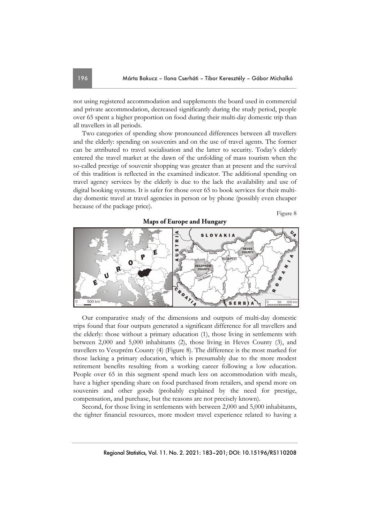not using registered accommodation and supplements the board used in commercial and private accommodation, decreased significantly during the study period, people over 65 spent a higher proportion on food during their multi-day domestic trip than all travellers in all periods.

Two categories of spending show pronounced differences between all travellers and the elderly: spending on souvenirs and on the use of travel agents. The former can be attributed to travel socialisation and the latter to security. Today's elderly entered the travel market at the dawn of the unfolding of mass tourism when the so-called prestige of souvenir shopping was greater than at present and the survival of this tradition is reflected in the examined indicator. The additional spending on travel agency services by the elderly is due to the lack the availability and use of digital booking systems. It is safer for those over 65 to book services for their multiday domestic travel at travel agencies in person or by phone (possibly even cheaper because of the package price).

Figure 8



Our comparative study of the dimensions and outputs of multi-day domestic trips found that four outputs generated a significant difference for all travellers and the elderly: those without a primary education (1), those living in settlements with between 2,000 and 5,000 inhabitants (2), those living in Heves County (3), and travellers to Veszprém County (4) (Figure 8). The difference is the most marked for those lacking a primary education, which is presumably due to the more modest retirement benefits resulting from a working career following a low education. People over 65 in this segment spend much less on accommodation with meals, have a higher spending share on food purchased from retailers, and spend more on souvenirs and other goods (probably explained by the need for prestige, compensation, and purchase, but the reasons are not precisely known).

Second, for those living in settlements with between 2,000 and 5,000 inhabitants, the tighter financial resources, more modest travel experience related to having a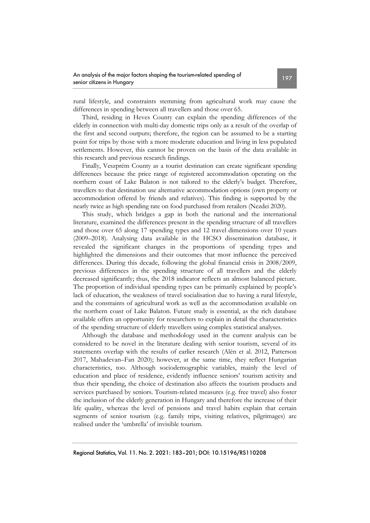rural lifestyle, and constraints stemming from agricultural work may cause the differences in spending between all travellers and those over 65.

Third, residing in Heves County can explain the spending differences of the elderly in connection with multi-day domestic trips only as a result of the overlap of the first and second outputs; therefore, the region can be assumed to be a starting point for trips by those with a more moderate education and living in less populated settlements. However, this cannot be proven on the basis of the data available in this research and previous research findings.

Finally, Veszprém County as a tourist destination can create significant spending differences because the price range of registered accommodation operating on the northern coast of Lake Balaton is not tailored to the elderly's budget. Therefore, travellers to that destination use alternative accommodation options (own property or accommodation offered by friends and relatives). This finding is supported by the nearly twice as high spending rate on food purchased from retailers (Nezdei 2020).

This study, which bridges a gap in both the national and the international literature, examined the differences present in the spending structure of all travellers and those over 65 along 17 spending types and 12 travel dimensions over 10 years (2009–2018). Analysing data available in the HCSO dissemination database, it revealed the significant changes in the proportions of spending types and highlighted the dimensions and their outcomes that most influence the perceived differences. During this decade, following the global financial crisis in 2008/2009, previous differences in the spending structure of all travellers and the elderly decreased significantly; thus, the 2018 indicator reflects an almost balanced picture. The proportion of individual spending types can be primarily explained by people's lack of education, the weakness of travel socialisation due to having a rural lifestyle, and the constraints of agricultural work as well as the accommodation available on the northern coast of Lake Balaton. Future study is essential, as the rich database available offers an opportunity for researchers to explain in detail the characteristics of the spending structure of elderly travellers using complex statistical analyses.

Although the database and methodology used in the current analysis can be considered to be novel in the literature dealing with senior tourism, several of its statements overlap with the results of earlier research (Alén et al. 2012, Patterson 2017, Mahadevan–Fan 2020); however, at the same time, they reflect Hungarian characteristics, too. Although sociodemographic variables, mainly the level of education and place of residence, evidently influence seniors' tourism activity and thus their spending, the choice of destination also affects the tourism products and services purchased by seniors. Tourism-related measures (e.g. free travel) also foster the inclusion of the elderly generation in Hungary and therefore the increase of their life quality, whereas the level of pensions and travel habits explain that certain segments of senior tourism (e.g. family trips, visiting relatives, pilgrimages) are realised under the 'umbrella' of invisible tourism.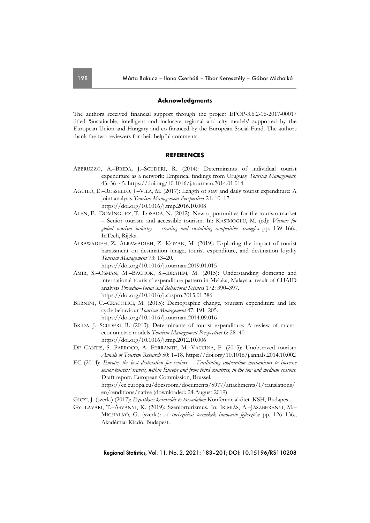#### **Acknowledgments**

The authors received financial support through the project EFOP-3.6.2-16-2017-00017 titled 'Sustainable, intelligent and inclusive regional and city models' supported by the European Union and Hungary and co-financed by the European Social Fund. The authors thank the two reviewers for their helpful comments.

#### **REFERENCES**

- ABBRUZZO, A.–BRIDA, J.–SCUDERI, R. (2014): Determinants of individual tourist expenditure as a network: Empirical findings from Uruguay *Tourism Management*. 43: 36–45. https://doi.org/10.1016/j.tourman.2014.01.014
- AGUILÓ, E.–ROSSELLÓ, J.–VILA, M. (2017): Length of stay and daily tourist expenditure: A joint analysis *Tourism Management Perspectives* 21: 10–17. https://doi.org/10.1016/j.tmp.2016.10.008
- ALÉN, E.–DOMÍNGUEZ, T.–LOSADA, N. (2012): New opportunities for the tourism market – Senior tourism and accessible tourism. In: KASIMOGLU, M. (ed): *Visions for global tourism industry – creating and sustaining competitive strategies* pp. 139–166., InTech, Rijeka.
- ALRAWADIEH, Z.–ALRAWADIEH, Z.–KOZAK, M. (2019): Exploring the impact of tourist harassment on destination image, tourist expenditure, and destination loyalty *Tourism Management* 73: 13–20.

https://doi.org/10.1016/j.tourman.2019.01.015

- AMIR, S.–OSMAN, M.–BACHOK, S.–IBRAHIM, M. (2015): Understanding domestic and international tourists' expenditure pattern in Melaka, Malaysia: result of CHAID analysis *Procedia–Social and Behavioral Sciences* 172: 390–397. https://doi.org/10.1016/j.sbspro.2015.01.386
- BERNINI, C.–CRACOLICI, M. (2015): Demographic change, tourism expenditure and life cycle behaviour *Tourism Management* 47: 191–205. https://doi.org/10.1016/j.tourman.2014.09.016
- BRIDA, J.–SCUDERI, R. (2013): Determinants of tourist expenditure: A review of microeconometric models *Tourism Management Perspectives* 6: 28–40. https://doi.org/10.1016/j.tmp.2012.10.006
- DE CANTIS, S.-PARROCO, A.-FERRANTE, M.-VACCINA, F. (2015): Unobserved tourism *Annals of Tourism Research* 50: 1–18. https://doi.org/10.1016/j.annals.2014.10.002
- EC (2014): *Europe, the best destination for seniors. Facilitating cooperation mechanisms to increase senior tourists' travels, within Europe and from third countries, in the low and medium seasons*. Draft report. European Commission, Brussel. https://ec.europa.eu/docsroom/documents/5977/attachments/1/translations/ en/renditions/native (downloaded: 24 August 2019)
- GICZI, J. (szerk.) (2017): *Ezüstkor: korosodás és társadalom* Konferenciakötet. KSH, Budapest.
- GYULAVÁRI, T.–ÁSVÁNYI, K. (2019): Szeniorturizmus. In: IRIMIÁS, A.–JÁSZBERÉNYI, M.– MICHALKÓ, G. (szerk.): *A turisztikai termékek innovatív fejlesztése* pp. 126–136., Akadémiai Kiadó, Budapest.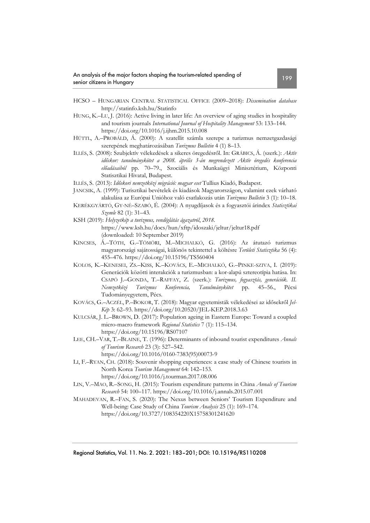- HCSO HUNGARIAN CENTRAL STATISTICAL OFFICE (2009–2018): *Dissemination database*  http://statinfo.ksh.hu/Statinfo
- HUNG, K.–LU, J. (2016): Active living in later life: An overview of aging studies in hospitality and tourism journals *International Journal of Hospitality Management* 53: 133–144. https://doi.org/10.1016/j.ijhm.2015.10.008
- HÜTTL, A.–PROBÁLD, Á. (2000): A szatellit számla szerepe a turizmus nemzetgazdasági szerepének meghatározásában *Turizmus Bulletin* 4 (1) 8–13.
- ILLÉS, S. (2008): Szubjektív vélekedések a sikeres öregedésről. In: GRÁBICS, Á. (szerk.): *Aktív időskor: tanulmánykötet a 2008. április 3-án megrendezett Aktív öregedés konferencia előadásaiból* pp. 70–79., Szociális és Munkaügyi Minisztérium, Központi Statisztikai Hivatal, Budapest.
- ILLÉS, S. (2013): *Időskori nemzetközi migráció: magyar eset* Tullius Kiadó, Budapest.
- JANCSIK, A. (1999): Turisztikai bevételek és kiadások Magyarországon, valamint ezek várható alakulása az Európai Unióhoz való csatlakozás után *Turizmus Bulletin* 3 (1): 10–18.
- KERÉKGYÁRTÓ, GY-NÉ–SZABÓ, É. (2004): A nyugdíjasok és a fogyasztói árindex *Statisztikai Szemle* 82 (1): 31–43.
- KSH (2019): *Helyzetkép a turizmus, vendéglátás ágazatról*, *2018*. https://www.ksh.hu/docs/hun/xftp/idoszaki/jeltur/jeltur18.pdf (downloaded: 10 September 2019)
- KINCSES, Á.–TÓTH, G.–TÖMÖRI, M.–MICHALKÓ, G. (2016): Az átutazó turizmus magyarországi sajátosságai, különös tekintettel a költésre *Területi Statisztika* 56 (4): 455–476. https://doi.org/10.15196/TS560404
- KOLOS, K.–KENESEI, ZS.–KISS, K.–KOVÁCS, E.–MICHALKÓ, G.–PINKE-SZIVA, I. (2019): Generációk közötti interakciók a turizmusban: a kor-alapú sztereotípia hatása. In: CSAPÓ J.–GONDA, T.–RAFFAY, Z. (szerk.): *Turizmus, fogyasztás, generációk. II. Nemzetközi Turizmus Konferencia, Tanulmánykötet* pp. 45–56., Pécsi Tudományegyetem, Pécs.
- KOVÁCS, G.–ACZÉL, P.–BOKOR, T. (2018): Magyar egyetemisták vélekedései az idősekről *Jel-Kép* 3: 62–93. https://doi.org/10.20520/JEL-KEP.2018.3.63
- KULCSÁR, J. L.–BROWN, D. (2017): Population ageing in Eastern Europe: Toward a coupled micro-macro framework *Regional Statistics* 7 (1): 115–134. https://doi.org/10.15196/RS07107
- LEE, CH.–VAR, T.–BLAINE, T. (1996): Determinants of inbound tourist expenditures *Annals of Tourism Research* 23 (3): 527–542.
	- https://doi.org/10.1016/0160-7383(95)00073-9
- LI, F.–RYAN, CH. (2018): Souvenir shopping experiences: a case study of Chinese tourists in North Korea *Tourism Management* 64: 142–153. https://doi.org/10.1016/j.tourman.2017.08.006
- LIN, V.–MAO, R.–SONG, H. (2015): Tourism expenditure patterns in China *Annals of Tourism Research* 54: 100–117. https://doi.org/10.1016/j.annals.2015.07.001
- MAHADEVAN, R.–FAN, S. (2020): The Nexus between Seniors' Tourism Expenditure and Well-being: Case Study of China *Tourism Analysis* 25 (1): 169–174. https://doi.org/10.3727/108354220X15758301241620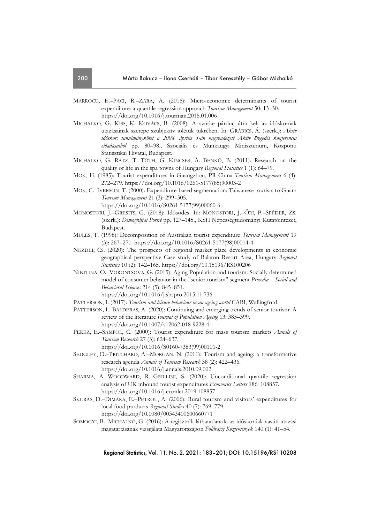- MARROCU, E.–PACI, R.–ZARA, A. (2015): Micro-economic determinants of tourist expenditure: a quantile regression approach *Tourism Management* 50: 13–30. https://doi.org/10.1016/j.tourman.2015.01.006
- MICHALKÓ, G.–KISS, K.–KOVÁCS, B. (2008): A szürke párduc útra kel: az időskorúak utazásainak szerepe szubjektív jólétük tükrében. In: GRÁBICS, Á. (szerk.): *Aktív időskor: tanulmánykötet a 2008. április 3-án megrendezett Aktív öregedés konferencia előadásaiból* pp. 80–98., Szociális és Munkaügyi Minisztérium, Központi Statisztikai Hivatal, Budapest.
- MICHALKÓ, G.–RÁTZ, T.–TÓTH, G.–KINCSES, Á.–BENKŐ, B. (2011): Research on the quality of life in the spa towns of Hungary *Regional Statistics* 1 (1): 64–79.
- MOK, H. (1985): Tourist expenditures in Guangzhou, PR China *Tourism Management* 6 (4): 272–279. https://doi.org/10.1016/0261-5177(85)90003-2
- MOK, C.–IVERSON, T. (2000): Expenditure-based segmentation: Taiwanese tourists to Guam *Tourism Management* 21 (3): 299–305.

https://doi.org/10.1016/S0261-5177(99)00060-6

- MONOSTORI, J.–GRESITS, G. (2018): Idősödés. In: MONOSTORI, J.–ŐRI, P.–SPÉDER, ZS. (szerk.): *Demográfiai Portré* pp. 127–145., KSH Népességtudományi Kutatóintézet, Budapest.
- MULES, T. (1998): Decomposition of Australian tourist expenditure *Tourism Management* 19 (3): 267–271. https://doi.org/10.1016/S0261-5177(98)00014-4
- NEZDEI, CS. (2020): The prospects of regional market place developments in economic geographical perspective Case study of Balaton Resort Area, Hungary *Regional Statistics* 10 (2): 142–165. https://doi.org/10.15196/RS100206
- NIKITINA, O.–VORONTSOVA, G. (2015): Aging Population and tourism: Socially determined model of consumer behavior in the "senior tourism" segment *Procedia – Social and Behavioral Sciences* 214 (5): 845–851.

https://doi.org/10.1016/j.sbspro.2015.11.736

- PATTERSON, I. (2017): *Tourism and leisure behaviour in an ageing world* CABI, Wallingford.
- PATTERSON, I.–BALDERAS, A. (2020): Continuing and emerging trends of senior tourism: A review of the literature *Journal of Population Ageing* 13: 385–399. https://doi.org/10.1007/s12062-018-9228-4
- PEREZ, E.–SAMPOL, C. (2000): Tourist expenditure for mass tourism markets *Annals of Tourism Research* 27 (3): 624–637. https://doi.org/10.1016/S0160-7383(99)00101-2
- SEDGLEY, D.–PRITCHARD, A.–MORGAN, N. (2011): Tourism and ageing: a transformative research agenda *Annals of Tourism Research* 38 (2): 422–436. https://doi.org/10.1016/j.annals.2010.09.002
- SHARMA, A.–WOODWARD, R.–GRILLINI, S. (2020): Unconditional quantile regression analysis of UK inbound tourist expenditures *Economics Letters* 186: 108857. https://doi.org/10.1016/j.econlet.2019.108857
- SKURAS, D.–DIMARA, E.–PETROU, A. (2006): Rural tourism and visitors' expenditures for local food products *Regional Studies* 40 (7): 769–779. https://doi.org/10.1080/00343400600660771
- SOMOGYI, B.–MICHALKÓ, G. (2016): A regisztrált láthatatlanok: az időskorúak vasúti utazási magatartásának vizsgálata Magyarországon *Földrajzi Közlemények* 140 (1): 41–54.